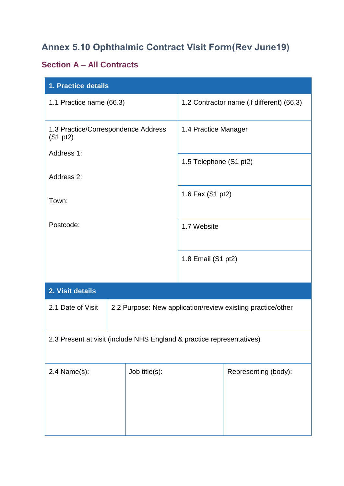# **Annex 5.10 Ophthalmic Contract Visit Form(Rev June19)**

#### **Section A – All Contracts**

| 1. Practice details                                                   |               |                                           |                                                             |  |  |  |
|-----------------------------------------------------------------------|---------------|-------------------------------------------|-------------------------------------------------------------|--|--|--|
| 1.1 Practice name (66.3)                                              |               | 1.2 Contractor name (if different) (66.3) |                                                             |  |  |  |
| 1.3 Practice/Correspondence Address<br>(S1 pt2)                       |               | 1.4 Practice Manager                      |                                                             |  |  |  |
| Address 1:                                                            |               | 1.5 Telephone (S1 pt2)                    |                                                             |  |  |  |
| Address 2:                                                            |               |                                           |                                                             |  |  |  |
| Town:                                                                 |               | 1.6 Fax (S1 pt2)                          |                                                             |  |  |  |
| Postcode:                                                             |               | 1.7 Website                               |                                                             |  |  |  |
|                                                                       |               | 1.8 Email (S1 pt2)                        |                                                             |  |  |  |
| 2. Visit details                                                      |               |                                           |                                                             |  |  |  |
| 2.1 Date of Visit                                                     |               |                                           | 2.2 Purpose: New application/review existing practice/other |  |  |  |
| 2.3 Present at visit (include NHS England & practice representatives) |               |                                           |                                                             |  |  |  |
| $2.4$ Name $(s)$ :                                                    | Job title(s): |                                           | Representing (body):                                        |  |  |  |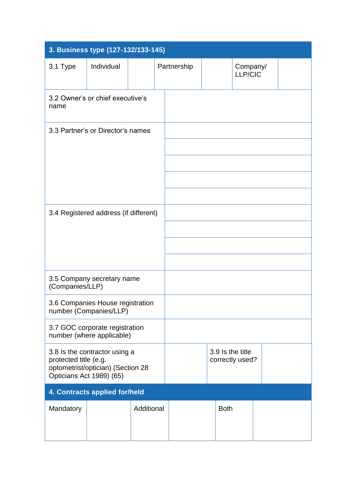| 3. Business type (127-132/133-145)                |                                                                    |            |             |                  |                            |  |  |
|---------------------------------------------------|--------------------------------------------------------------------|------------|-------------|------------------|----------------------------|--|--|
| 3.1 Type                                          | Individual                                                         |            | Partnership |                  | Company/<br><b>LLP/CIC</b> |  |  |
| name                                              | 3.2 Owner's or chief executive's                                   |            |             |                  |                            |  |  |
|                                                   | 3.3 Partner's or Director's names                                  |            |             |                  |                            |  |  |
|                                                   | 3.4 Registered address (if different)                              |            |             |                  |                            |  |  |
| (Companies/LLP)                                   | 3.5 Company secretary name                                         |            |             |                  |                            |  |  |
|                                                   | 3.6 Companies House registration<br>number (Companies/LLP)         |            |             |                  |                            |  |  |
|                                                   | 3.7 GOC corporate registration<br>number (where applicable)        |            |             |                  |                            |  |  |
| protected title (e.g.<br>Opticians Act 1989) (65) | 3.8 Is the contractor using a<br>optometrist/optician) (Section 28 |            |             | 3.9 Is the title | correctly used?            |  |  |
|                                                   | 4. Contracts applied for/held                                      |            |             |                  |                            |  |  |
| Mandatory                                         |                                                                    | Additional |             | <b>Both</b>      |                            |  |  |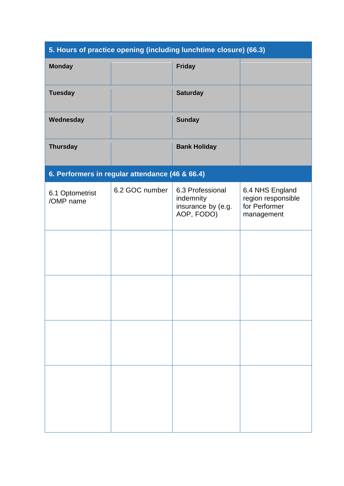| 5. Hours of practice opening (including lunchtime closure) (66.3) |                |                                                                   |                                                                      |  |  |  |  |  |
|-------------------------------------------------------------------|----------------|-------------------------------------------------------------------|----------------------------------------------------------------------|--|--|--|--|--|
| <b>Monday</b>                                                     |                | <b>Friday</b>                                                     |                                                                      |  |  |  |  |  |
| <b>Tuesday</b>                                                    |                | <b>Saturday</b>                                                   |                                                                      |  |  |  |  |  |
| Wednesday                                                         |                | <b>Sunday</b>                                                     |                                                                      |  |  |  |  |  |
| <b>Thursday</b>                                                   |                | <b>Bank Holiday</b>                                               |                                                                      |  |  |  |  |  |
| 6. Performers in regular attendance (46 & 66.4)                   |                |                                                                   |                                                                      |  |  |  |  |  |
| 6.1 Optometrist<br>/OMP name                                      | 6.2 GOC number | 6.3 Professional<br>indemnity<br>insurance by (e.g.<br>AOP, FODO) | 6.4 NHS England<br>region responsible<br>for Performer<br>management |  |  |  |  |  |
|                                                                   |                |                                                                   |                                                                      |  |  |  |  |  |
|                                                                   |                |                                                                   |                                                                      |  |  |  |  |  |
|                                                                   |                |                                                                   |                                                                      |  |  |  |  |  |
|                                                                   |                |                                                                   |                                                                      |  |  |  |  |  |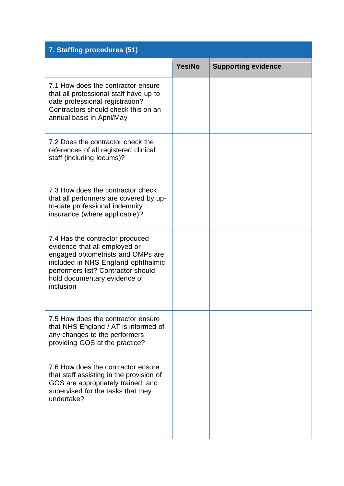| 7. Staffing procedures (51)                                                                                                                                                                                                    |        |                            |
|--------------------------------------------------------------------------------------------------------------------------------------------------------------------------------------------------------------------------------|--------|----------------------------|
|                                                                                                                                                                                                                                | Yes/No | <b>Supporting evidence</b> |
| 7.1 How does the contractor ensure<br>that all professional staff have up-to<br>date professional registration?<br>Contractors should check this on an<br>annual basis in April/May                                            |        |                            |
| 7.2 Does the contractor check the<br>references of all registered clinical<br>staff (including locums)?                                                                                                                        |        |                            |
| 7.3 How does the contractor check<br>that all performers are covered by up-<br>to-date professional indemnity<br>insurance (where applicable)?                                                                                 |        |                            |
| 7.4 Has the contractor produced<br>evidence that all employed or<br>engaged optometrists and OMPs are<br>included in NHS England ophthalmic<br>performers list? Contractor should<br>hold documentary evidence of<br>inclusion |        |                            |
| 7.5 How does the contractor ensure<br>that NHS England / AT is informed of<br>any changes to the performers<br>providing GOS at the practice?                                                                                  |        |                            |
| 7.6 How does the contractor ensure<br>that staff assisting in the provision of<br>GOS are appropriately trained, and<br>supervised for the tasks that they<br>undertake?                                                       |        |                            |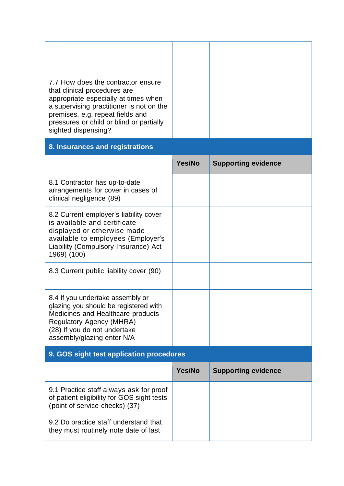| 7.7 How does the contractor ensure<br>that clinical procedures are<br>appropriate especially at times when<br>a supervising practitioner is not on the<br>premises, e.g. repeat fields and<br>pressures or child or blind or partially<br>sighted dispensing? |        |                            |
|---------------------------------------------------------------------------------------------------------------------------------------------------------------------------------------------------------------------------------------------------------------|--------|----------------------------|
| 8. Insurances and registrations                                                                                                                                                                                                                               |        |                            |
|                                                                                                                                                                                                                                                               | Yes/No | <b>Supporting evidence</b> |
| 8.1 Contractor has up-to-date<br>arrangements for cover in cases of<br>clinical negligence (89)                                                                                                                                                               |        |                            |
| 8.2 Current employer's liability cover<br>is available and certificate<br>displayed or otherwise made<br>available to employees (Employer's<br>Liability (Compulsory Insurance) Act<br>1969) (100)                                                            |        |                            |
| 8.3 Current public liability cover (90)                                                                                                                                                                                                                       |        |                            |
| 8.4 If you undertake assembly or<br>glazing you should be registered with<br>Medicines and Healthcare products<br>Regulatory Agency (MHRA)<br>(28) If you do not undertake<br>assembly/glazing enter N/A                                                      |        |                            |
| 9. GOS sight test application procedures                                                                                                                                                                                                                      |        |                            |
|                                                                                                                                                                                                                                                               | Yes/No | <b>Supporting evidence</b> |
| 9.1 Practice staff always ask for proof<br>of patient eligibility for GOS sight tests<br>(point of service checks) (37)                                                                                                                                       |        |                            |
| 9.2 Do practice staff understand that<br>they must routinely note date of last                                                                                                                                                                                |        |                            |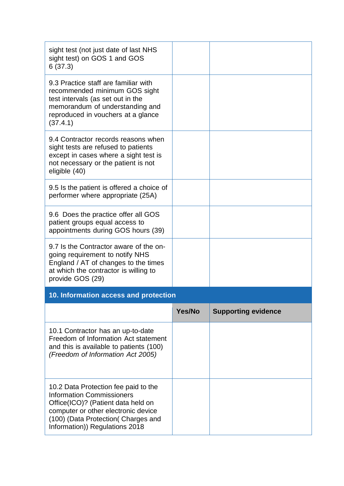| sight test (not just date of last NHS<br>sight test) on GOS 1 and GOS<br>6(37.3)                                                                                                                |        |                            |
|-------------------------------------------------------------------------------------------------------------------------------------------------------------------------------------------------|--------|----------------------------|
| 9.3 Practice staff are familiar with<br>recommended minimum GOS sight<br>test intervals (as set out in the<br>memorandum of understanding and<br>reproduced in vouchers at a glance<br>(37.4.1) |        |                            |
| 9.4 Contractor records reasons when<br>sight tests are refused to patients<br>except in cases where a sight test is<br>not necessary or the patient is not<br>eligible (40)                     |        |                            |
| 9.5 Is the patient is offered a choice of<br>performer where appropriate (25A)                                                                                                                  |        |                            |
| 9.6 Does the practice offer all GOS<br>patient groups equal access to<br>appointments during GOS hours (39)                                                                                     |        |                            |
| 9.7 Is the Contractor aware of the on-<br>going requirement to notify NHS<br>England / AT of changes to the times<br>at which the contractor is willing to<br>provide GOS (29)                  |        |                            |
| 10. Information access and protection                                                                                                                                                           |        |                            |
|                                                                                                                                                                                                 | Yes/No | <b>Supporting evidence</b> |
| 10.1 Contractor has an up-to-date<br>Freedom of Information Act statement<br>and this is available to patients (100)<br>(Freedom of Information Act 2005)                                       |        |                            |
| 10.2 Data Protection fee paid to the<br><b>Information Commissioners</b>                                                                                                                        |        |                            |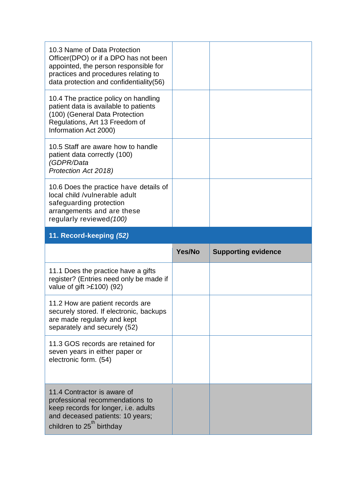| 10.3 Name of Data Protection<br>Officer(DPO) or if a DPO has not been<br>appointed, the person responsible for<br>practices and procedures relating to<br>data protection and confidentiality(56) |        |                            |
|---------------------------------------------------------------------------------------------------------------------------------------------------------------------------------------------------|--------|----------------------------|
| 10.4 The practice policy on handling<br>patient data is available to patients<br>(100) (General Data Protection<br>Regulations, Art 13 Freedom of<br>Information Act 2000)                        |        |                            |
| 10.5 Staff are aware how to handle<br>patient data correctly (100)<br>(GDPR/Data<br>Protection Act 2018)                                                                                          |        |                            |
| 10.6 Does the practice have details of<br>local child /vulnerable adult<br>safeguarding protection<br>arrangements and are these<br>regularly reviewed (100)                                      |        |                            |
| 11. Record-keeping (52)                                                                                                                                                                           |        |                            |
|                                                                                                                                                                                                   |        |                            |
|                                                                                                                                                                                                   | Yes/No | <b>Supporting evidence</b> |
| 11.1 Does the practice have a gifts<br>register? (Entries need only be made if<br>value of gift $>£100$ ) (92)                                                                                    |        |                            |
| 11.2 How are patient records are<br>securely stored. If electronic, backups<br>are made regularly and kept<br>separately and securely (52)                                                        |        |                            |
| 11.3 GOS records are retained for<br>seven years in either paper or<br>electronic form. (54)                                                                                                      |        |                            |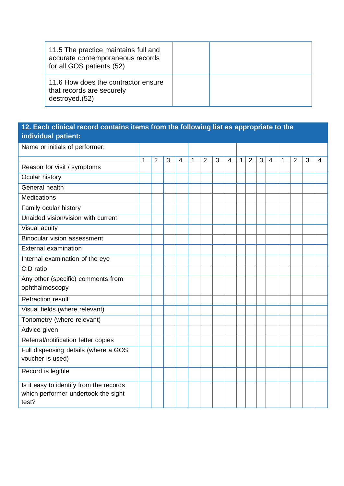| 11.5 The practice maintains full and<br>accurate contemporaneous records<br>for all GOS patients (52) |  |
|-------------------------------------------------------------------------------------------------------|--|
| 11.6 How does the contractor ensure<br>that records are securely<br>destroyed.(52)                    |  |

#### **12. Each clinical record contains items from the following list as appropriate to the individual patient:**

| Name or initials of performer:               |   |                |   |                |              |                |   |                |                |                |              |                |              |                |   |                |
|----------------------------------------------|---|----------------|---|----------------|--------------|----------------|---|----------------|----------------|----------------|--------------|----------------|--------------|----------------|---|----------------|
|                                              | 1 | $\overline{2}$ | 3 | $\overline{4}$ | $\mathbf{1}$ | $\overline{2}$ | 3 | $\overline{4}$ | 1 <sup>1</sup> | $\overline{2}$ | $\mathbf{3}$ | $\overline{4}$ | $\mathbf{1}$ | $\overline{2}$ | 3 | $\overline{4}$ |
| Reason for visit / symptoms                  |   |                |   |                |              |                |   |                |                |                |              |                |              |                |   |                |
| Ocular history                               |   |                |   |                |              |                |   |                |                |                |              |                |              |                |   |                |
| General health                               |   |                |   |                |              |                |   |                |                |                |              |                |              |                |   |                |
| <b>Medications</b>                           |   |                |   |                |              |                |   |                |                |                |              |                |              |                |   |                |
| Family ocular history                        |   |                |   |                |              |                |   |                |                |                |              |                |              |                |   |                |
| Unaided vision/vision with current           |   |                |   |                |              |                |   |                |                |                |              |                |              |                |   |                |
| Visual acuity                                |   |                |   |                |              |                |   |                |                |                |              |                |              |                |   |                |
| <b>Binocular vision assessment</b>           |   |                |   |                |              |                |   |                |                |                |              |                |              |                |   |                |
| <b>External examination</b>                  |   |                |   |                |              |                |   |                |                |                |              |                |              |                |   |                |
| Internal examination of the eye              |   |                |   |                |              |                |   |                |                |                |              |                |              |                |   |                |
| C:D ratio                                    |   |                |   |                |              |                |   |                |                |                |              |                |              |                |   |                |
| Any other (specific) comments from           |   |                |   |                |              |                |   |                |                |                |              |                |              |                |   |                |
| ophthalmoscopy                               |   |                |   |                |              |                |   |                |                |                |              |                |              |                |   |                |
| <b>Refraction result</b>                     |   |                |   |                |              |                |   |                |                |                |              |                |              |                |   |                |
| Visual fields (where relevant)               |   |                |   |                |              |                |   |                |                |                |              |                |              |                |   |                |
| Tonometry (where relevant)                   |   |                |   |                |              |                |   |                |                |                |              |                |              |                |   |                |
| Advice given                                 |   |                |   |                |              |                |   |                |                |                |              |                |              |                |   |                |
| Referral/notification letter copies          |   |                |   |                |              |                |   |                |                |                |              |                |              |                |   |                |
| Full dispensing details (where a GOS         |   |                |   |                |              |                |   |                |                |                |              |                |              |                |   |                |
| voucher is used)                             |   |                |   |                |              |                |   |                |                |                |              |                |              |                |   |                |
| Record is legible                            |   |                |   |                |              |                |   |                |                |                |              |                |              |                |   |                |
| Is it easy to identify from the records      |   |                |   |                |              |                |   |                |                |                |              |                |              |                |   |                |
| which performer undertook the sight<br>test? |   |                |   |                |              |                |   |                |                |                |              |                |              |                |   |                |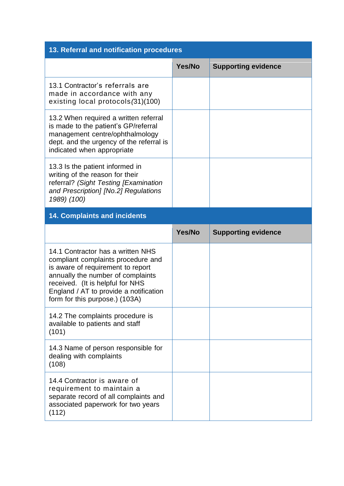| 13. Referral and notification procedures                                                                                                                                                                                                                          |        |                            |  |  |  |  |  |
|-------------------------------------------------------------------------------------------------------------------------------------------------------------------------------------------------------------------------------------------------------------------|--------|----------------------------|--|--|--|--|--|
|                                                                                                                                                                                                                                                                   | Yes/No | <b>Supporting evidence</b> |  |  |  |  |  |
| 13.1 Contractor's referrals are<br>made in accordance with any<br>existing local protocols (31)(100)                                                                                                                                                              |        |                            |  |  |  |  |  |
| 13.2 When required a written referral<br>is made to the patient's GP/referral<br>management centre/ophthalmology<br>dept. and the urgency of the referral is<br>indicated when appropriate                                                                        |        |                            |  |  |  |  |  |
| 13.3 Is the patient informed in<br>writing of the reason for their<br>referral? (Sight Testing [Examination<br>and Prescription] [No.2] Regulations<br>1989) (100)                                                                                                |        |                            |  |  |  |  |  |
| <b>14. Complaints and incidents</b>                                                                                                                                                                                                                               |        |                            |  |  |  |  |  |
|                                                                                                                                                                                                                                                                   | Yes/No | <b>Supporting evidence</b> |  |  |  |  |  |
| 14.1 Contractor has a written NHS<br>compliant complaints procedure and<br>is aware of requirement to report<br>annually the number of complaints<br>received. (It is helpful for NHS<br>England / AT to provide a notification<br>form for this purpose.) (103A) |        |                            |  |  |  |  |  |
| 14.2 The complaints procedure is<br>available to patients and staff<br>(101)                                                                                                                                                                                      |        |                            |  |  |  |  |  |
| 14.3 Name of person responsible for<br>dealing with complaints<br>(108)                                                                                                                                                                                           |        |                            |  |  |  |  |  |
| 14.4 Contractor is aware of<br>requirement to maintain a<br>separate record of all complaints and<br>associated paperwork for two years<br>(112)                                                                                                                  |        |                            |  |  |  |  |  |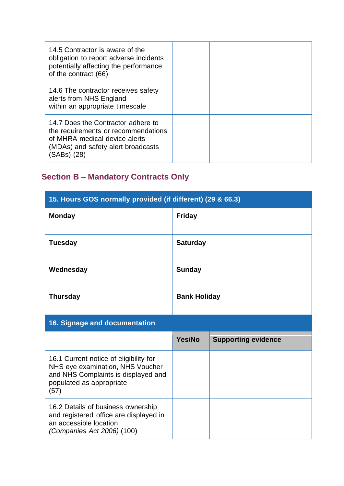| 14.5 Contractor is aware of the<br>obligation to report adverse incidents<br>potentially affecting the performance<br>of the contract (66)                      |  |
|-----------------------------------------------------------------------------------------------------------------------------------------------------------------|--|
| 14.6 The contractor receives safety<br>alerts from NHS England<br>within an appropriate timescale                                                               |  |
| 14.7 Does the Contractor adhere to<br>the requirements or recommendations<br>of MHRA medical device alerts<br>(MDAs) and safety alert broadcasts<br>(SABs) (28) |  |

## **Section B – Mandatory Contracts Only**

| 15. Hours GOS normally provided (if different) (29 & 66.3)                                                                                            |  |                     |  |                            |  |  |  |
|-------------------------------------------------------------------------------------------------------------------------------------------------------|--|---------------------|--|----------------------------|--|--|--|
| <b>Monday</b>                                                                                                                                         |  | <b>Friday</b>       |  |                            |  |  |  |
| <b>Tuesday</b>                                                                                                                                        |  | <b>Saturday</b>     |  |                            |  |  |  |
| Wednesday                                                                                                                                             |  | <b>Sunday</b>       |  |                            |  |  |  |
| <b>Thursday</b>                                                                                                                                       |  | <b>Bank Holiday</b> |  |                            |  |  |  |
| 16. Signage and documentation                                                                                                                         |  |                     |  |                            |  |  |  |
|                                                                                                                                                       |  | Yes/No              |  | <b>Supporting evidence</b> |  |  |  |
| 16.1 Current notice of eligibility for<br>NHS eye examination, NHS Voucher<br>and NHS Complaints is displayed and<br>populated as appropriate<br>(57) |  |                     |  |                            |  |  |  |
| 16.2 Details of business ownership<br>and registered office are displayed in                                                                          |  |                     |  |                            |  |  |  |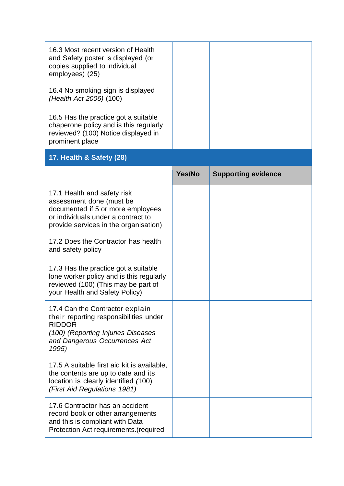| 16.3 Most recent version of Health<br>and Safety poster is displayed (or<br>copies supplied to individual<br>employees) (25)                                                |        |                            |
|-----------------------------------------------------------------------------------------------------------------------------------------------------------------------------|--------|----------------------------|
| 16.4 No smoking sign is displayed<br>(Health Act 2006) (100)                                                                                                                |        |                            |
| 16.5 Has the practice got a suitable<br>chaperone policy and is this regularly<br>reviewed? (100) Notice displayed in<br>prominent place                                    |        |                            |
| 17. Health & Safety (28)                                                                                                                                                    |        |                            |
|                                                                                                                                                                             | Yes/No | <b>Supporting evidence</b> |
| 17.1 Health and safety risk<br>assessment done (must be<br>documented if 5 or more employees<br>or individuals under a contract to<br>provide services in the organisation) |        |                            |
| 17.2 Does the Contractor has health<br>and safety policy                                                                                                                    |        |                            |
| 17.3 Has the practice got a suitable<br>lone worker policy and is this regularly<br>reviewed (100) (This may be part of<br>your Health and Safety Policy)                   |        |                            |
| 17.4 Can the Contractor explain<br>their reporting responsibilities under<br><b>RIDDOR</b><br>(100) (Reporting Injuries Diseases<br>and Dangerous Occurrences Act<br>1995)  |        |                            |
| 17.5 A suitable first aid kit is available,<br>the contents are up to date and its<br>location is clearly identified (100)<br>(First Aid Regulations 1981)                  |        |                            |
| 17.6 Contractor has an accident<br>record book or other arrangements<br>and this is compliant with Data<br>Protection Act requirements. (required                           |        |                            |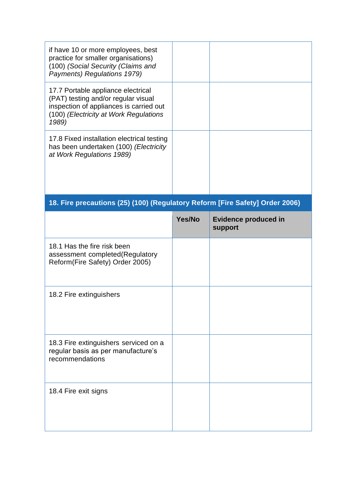| if have 10 or more employees, best<br>practice for smaller organisations)<br>(100) (Social Security (Claims and<br>Payments) Regulations 1979)                          |        |                                        |
|-------------------------------------------------------------------------------------------------------------------------------------------------------------------------|--------|----------------------------------------|
| 17.7 Portable appliance electrical<br>(PAT) testing and/or regular visual<br>inspection of appliances is carried out<br>(100) (Electricity at Work Regulations<br>1989) |        |                                        |
| 17.8 Fixed installation electrical testing<br>has been undertaken (100) (Electricity<br>at Work Regulations 1989)                                                       |        |                                        |
| 18. Fire precautions (25) (100) (Regulatory Reform [Fire Safety] Order 2006)                                                                                            |        |                                        |
|                                                                                                                                                                         | Yes/No | <b>Evidence produced in</b><br>support |
| 18.1 Has the fire risk been<br>assessment completed(Regulatory<br>Reform(Fire Safety) Order 2005)                                                                       |        |                                        |
| 18.2 Fire extinguishers                                                                                                                                                 |        |                                        |
|                                                                                                                                                                         |        |                                        |
| 18.3 Fire extinguishers serviced on a<br>regular basis as per manufacture's<br>recommendations                                                                          |        |                                        |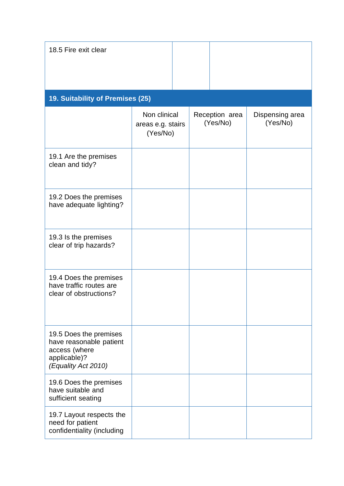| 18.5 Fire exit clear                                                                                      |                                               |  |                            |                             |
|-----------------------------------------------------------------------------------------------------------|-----------------------------------------------|--|----------------------------|-----------------------------|
| 19. Suitability of Premises (25)                                                                          |                                               |  |                            |                             |
|                                                                                                           | Non clinical<br>areas e.g. stairs<br>(Yes/No) |  | Reception area<br>(Yes/No) | Dispensing area<br>(Yes/No) |
| 19.1 Are the premises<br>clean and tidy?                                                                  |                                               |  |                            |                             |
| 19.2 Does the premises<br>have adequate lighting?                                                         |                                               |  |                            |                             |
| 19.3 Is the premises<br>clear of trip hazards?                                                            |                                               |  |                            |                             |
| 19.4 Does the premises<br>have traffic routes are<br>clear of obstructions?                               |                                               |  |                            |                             |
| 19.5 Does the premises<br>have reasonable patient<br>access (where<br>applicable)?<br>(Equality Act 2010) |                                               |  |                            |                             |
| 19.6 Does the premises<br>have suitable and<br>sufficient seating                                         |                                               |  |                            |                             |
| 19.7 Layout respects the<br>need for patient<br>confidentiality (including                                |                                               |  |                            |                             |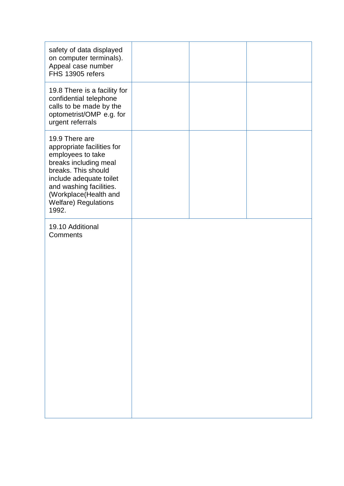| safety of data displayed<br>on computer terminals).<br>Appeal case number<br>FHS 13905 refers                                                                                                                                            |  |  |
|------------------------------------------------------------------------------------------------------------------------------------------------------------------------------------------------------------------------------------------|--|--|
| 19.8 There is a facility for<br>confidential telephone<br>calls to be made by the<br>optometrist/OMP e.g. for<br>urgent referrals                                                                                                        |  |  |
| 19.9 There are<br>appropriate facilities for<br>employees to take<br>breaks including meal<br>breaks. This should<br>include adequate toilet<br>and washing facilities.<br>(Workplace(Health and<br><b>Welfare) Regulations</b><br>1992. |  |  |
| 19.10 Additional<br>Comments                                                                                                                                                                                                             |  |  |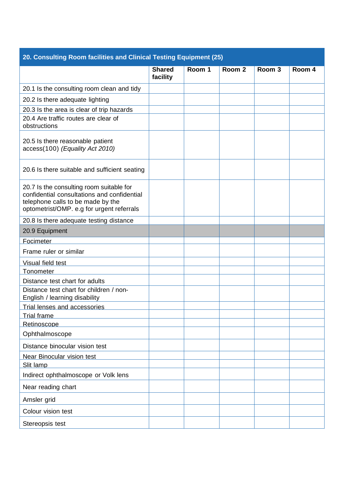| 20. Consulting Room facilities and Clinical Testing Equipment (25)                                                                                                        |                           |        |        |        |        |
|---------------------------------------------------------------------------------------------------------------------------------------------------------------------------|---------------------------|--------|--------|--------|--------|
|                                                                                                                                                                           | <b>Shared</b><br>facility | Room 1 | Room 2 | Room 3 | Room 4 |
| 20.1 Is the consulting room clean and tidy                                                                                                                                |                           |        |        |        |        |
| 20.2 Is there adequate lighting                                                                                                                                           |                           |        |        |        |        |
| 20.3 Is the area is clear of trip hazards                                                                                                                                 |                           |        |        |        |        |
| 20.4 Are traffic routes are clear of<br>obstructions                                                                                                                      |                           |        |        |        |        |
| 20.5 Is there reasonable patient<br>access(100) (Equality Act 2010)                                                                                                       |                           |        |        |        |        |
| 20.6 Is there suitable and sufficient seating                                                                                                                             |                           |        |        |        |        |
| 20.7 Is the consulting room suitable for<br>confidential consultations and confidential<br>telephone calls to be made by the<br>optometrist/OMP. e.g for urgent referrals |                           |        |        |        |        |
| 20.8 Is there adequate testing distance                                                                                                                                   |                           |        |        |        |        |
| 20.9 Equipment                                                                                                                                                            |                           |        |        |        |        |
| Focimeter                                                                                                                                                                 |                           |        |        |        |        |
| Frame ruler or similar                                                                                                                                                    |                           |        |        |        |        |
| Visual field test                                                                                                                                                         |                           |        |        |        |        |
| Tonometer                                                                                                                                                                 |                           |        |        |        |        |
| Distance test chart for adults                                                                                                                                            |                           |        |        |        |        |
| Distance test chart for children / non-<br>English / learning disability                                                                                                  |                           |        |        |        |        |
| Trial lenses and accessories<br><b>Trial frame</b>                                                                                                                        |                           |        |        |        |        |
| Retinoscope                                                                                                                                                               |                           |        |        |        |        |
| Ophthalmoscope                                                                                                                                                            |                           |        |        |        |        |
| Distance binocular vision test                                                                                                                                            |                           |        |        |        |        |
| Near Binocular vision test                                                                                                                                                |                           |        |        |        |        |
| Slit lamp                                                                                                                                                                 |                           |        |        |        |        |
| Indirect ophthalmoscope or Volk lens                                                                                                                                      |                           |        |        |        |        |
| Near reading chart                                                                                                                                                        |                           |        |        |        |        |
| Amsler grid                                                                                                                                                               |                           |        |        |        |        |
| Colour vision test                                                                                                                                                        |                           |        |        |        |        |
| Stereopsis test                                                                                                                                                           |                           |        |        |        |        |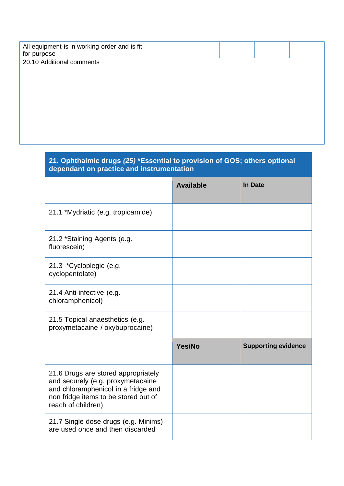| All equipment is in working order and is fit<br>for purpose |  |  |  |
|-------------------------------------------------------------|--|--|--|
| 20.10 Additional comments                                   |  |  |  |
|                                                             |  |  |  |
|                                                             |  |  |  |
|                                                             |  |  |  |
|                                                             |  |  |  |
|                                                             |  |  |  |
|                                                             |  |  |  |

#### **21. Ophthalmic drugs** *(25)* **\*Essential to provision of GOS; others optional dependant on practice and instrumentation**

|                                                                                                                                                                               | <b>Available</b> | In Date                    |
|-------------------------------------------------------------------------------------------------------------------------------------------------------------------------------|------------------|----------------------------|
| 21.1 *Mydriatic (e.g. tropicamide)                                                                                                                                            |                  |                            |
| 21.2 *Staining Agents (e.g.<br>fluorescein)                                                                                                                                   |                  |                            |
| 21.3 *Cycloplegic (e.g.<br>cyclopentolate)                                                                                                                                    |                  |                            |
| 21.4 Anti-infective (e.g.<br>chloramphenicol)                                                                                                                                 |                  |                            |
| 21.5 Topical anaesthetics (e.g.<br>proxymetacaine / oxybuprocaine)                                                                                                            |                  |                            |
|                                                                                                                                                                               | Yes/No           | <b>Supporting evidence</b> |
| 21.6 Drugs are stored appropriately<br>and securely (e.g. proxymetacaine<br>and chloramphenicol in a fridge and<br>non fridge items to be stored out of<br>reach of children) |                  |                            |
| 21.7 Single dose drugs (e.g. Minims)<br>are used once and then discarded                                                                                                      |                  |                            |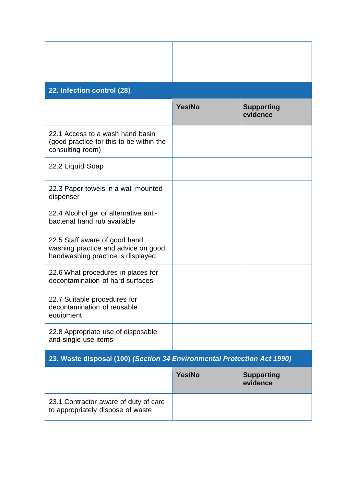| 22. Infection control (28)                                                                                 |        |                               |
|------------------------------------------------------------------------------------------------------------|--------|-------------------------------|
|                                                                                                            | Yes/No | <b>Supporting</b><br>evidence |
| 22.1 Access to a wash hand basin<br>(good practice for this to be within the<br>consulting room)           |        |                               |
| 22.2 Liquid Soap                                                                                           |        |                               |
| 22.3 Paper towels in a wall-mounted<br>dispenser                                                           |        |                               |
| 22.4 Alcohol gel or alternative anti-<br>bacterial hand rub available                                      |        |                               |
| 22.5 Staff aware of good hand<br>washing practice and advice on good<br>handwashing practice is displayed. |        |                               |
| 22.6 What procedures in places for<br>decontamination of hard surfaces                                     |        |                               |
| 22.7 Suitable procedures for<br>decontamination of reusable<br>equipment                                   |        |                               |
| 22.8 Appropriate use of disposable<br>and single use items                                                 |        |                               |
| 23. Waste disposal (100) (Section 34 Environmental Protection Act 1990)                                    |        |                               |
|                                                                                                            | Yes/No | <b>Supporting</b><br>evidence |
| 23.1 Contractor aware of duty of care<br>to appropriately dispose of waste                                 |        |                               |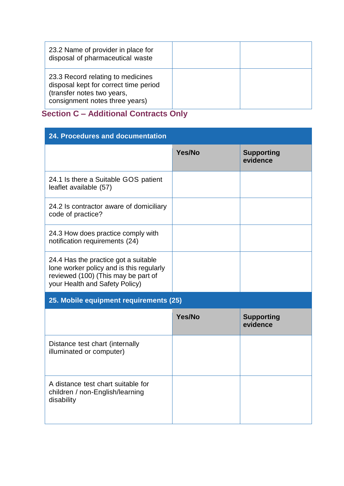| 23.2 Name of provider in place for<br>disposal of pharmaceutical waste                                                                     |  |
|--------------------------------------------------------------------------------------------------------------------------------------------|--|
| 23.3 Record relating to medicines<br>disposal kept for correct time period<br>(transfer notes two years,<br>consignment notes three years) |  |

### **Section C – Additional Contracts Only**

| 24. Procedures and documentation                                                                                                                          |        |                               |
|-----------------------------------------------------------------------------------------------------------------------------------------------------------|--------|-------------------------------|
|                                                                                                                                                           | Yes/No | <b>Supporting</b><br>evidence |
| 24.1 Is there a Suitable GOS patient<br>leaflet available (57)                                                                                            |        |                               |
| 24.2 Is contractor aware of domiciliary<br>code of practice?                                                                                              |        |                               |
| 24.3 How does practice comply with<br>notification requirements (24)                                                                                      |        |                               |
| 24.4 Has the practice got a suitable<br>lone worker policy and is this regularly<br>reviewed (100) (This may be part of<br>your Health and Safety Policy) |        |                               |
| 25. Mobile equipment requirements (25)                                                                                                                    |        |                               |
|                                                                                                                                                           | Yes/No | <b>Supporting</b><br>evidence |
| Distance test chart (internally<br>illuminated or computer)                                                                                               |        |                               |
| A distance test chart suitable for<br>children / non-English/learning<br>disability                                                                       |        |                               |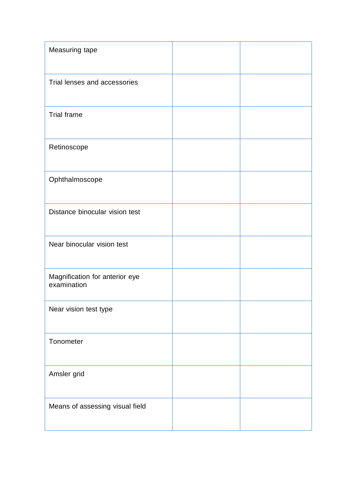| Measuring tape                                |  |
|-----------------------------------------------|--|
| Trial lenses and accessories                  |  |
| <b>Trial frame</b>                            |  |
| Retinoscope                                   |  |
| Ophthalmoscope                                |  |
| Distance binocular vision test                |  |
| Near binocular vision test                    |  |
| Magnification for anterior eye<br>examination |  |
| Near vision test type                         |  |
| Tonometer                                     |  |
| Amsler grid                                   |  |
| Means of assessing visual field               |  |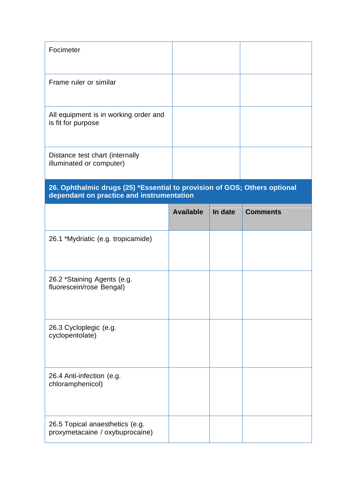| Focimeter                                                                                                              |                  |         |                 |
|------------------------------------------------------------------------------------------------------------------------|------------------|---------|-----------------|
| Frame ruler or similar                                                                                                 |                  |         |                 |
| All equipment is in working order and<br>is fit for purpose                                                            |                  |         |                 |
| Distance test chart (internally<br>illuminated or computer)                                                            |                  |         |                 |
| 26. Ophthalmic drugs (25) *Essential to provision of GOS; Others optional<br>dependant on practice and instrumentation |                  |         |                 |
|                                                                                                                        | <b>Available</b> | In date | <b>Comments</b> |
| 26.1 *Mydriatic (e.g. tropicamide)                                                                                     |                  |         |                 |
| 26.2 *Staining Agents (e.g.<br>fluorescein/rose Bengal)                                                                |                  |         |                 |
| 26.3 Cycloplegic (e.g.<br>cyclopentolate)                                                                              |                  |         |                 |
| 26.4 Anti-infection (e.g.<br>chloramphenicol)                                                                          |                  |         |                 |
| 26.5 Topical anaesthetics (e.g.<br>proxymetacaine / oxybuprocaine)                                                     |                  |         |                 |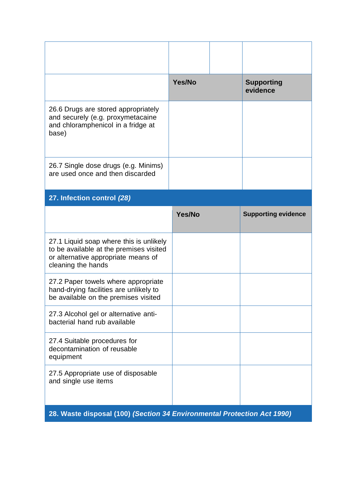|                                                                                                                                                 | Yes/No |  | <b>Supporting</b><br>evidence |  |  |
|-------------------------------------------------------------------------------------------------------------------------------------------------|--------|--|-------------------------------|--|--|
| 26.6 Drugs are stored appropriately<br>and securely (e.g. proxymetacaine<br>and chloramphenicol in a fridge at<br>base)                         |        |  |                               |  |  |
| 26.7 Single dose drugs (e.g. Minims)<br>are used once and then discarded                                                                        |        |  |                               |  |  |
| 27. Infection control (28)                                                                                                                      |        |  |                               |  |  |
|                                                                                                                                                 | Yes/No |  | <b>Supporting evidence</b>    |  |  |
| 27.1 Liquid soap where this is unlikely<br>to be available at the premises visited<br>or alternative appropriate means of<br>cleaning the hands |        |  |                               |  |  |
| 27.2 Paper towels where appropriate<br>hand-drying facilities are unlikely to<br>be available on the premises visited                           |        |  |                               |  |  |
| 27.3 Alcohol gel or alternative anti-<br>bacterial hand rub available                                                                           |        |  |                               |  |  |
| 27.4 Suitable procedures for<br>decontamination of reusable<br>equipment                                                                        |        |  |                               |  |  |
| 27.5 Appropriate use of disposable<br>and single use items                                                                                      |        |  |                               |  |  |
| 28. Waste disposal (100) (Section 34 Environmental Protection Act 1990)                                                                         |        |  |                               |  |  |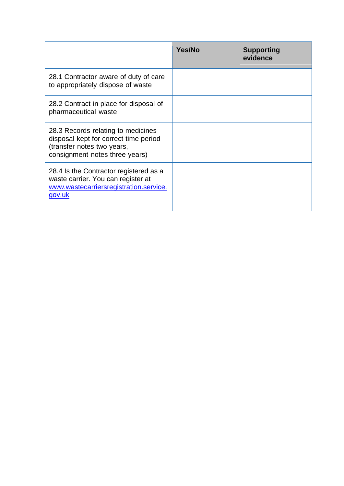|                                                                                                                                             | Yes/No | <b>Supporting</b><br>evidence |
|---------------------------------------------------------------------------------------------------------------------------------------------|--------|-------------------------------|
| 28.1 Contractor aware of duty of care<br>to appropriately dispose of waste                                                                  |        |                               |
| 28.2 Contract in place for disposal of<br>pharmaceutical waste                                                                              |        |                               |
| 28.3 Records relating to medicines<br>disposal kept for correct time period<br>(transfer notes two years,<br>consignment notes three years) |        |                               |
| 28.4 Is the Contractor registered as a<br>waste carrier. You can register at<br>www.wastecarriersregistration.service.<br>gov.uk            |        |                               |